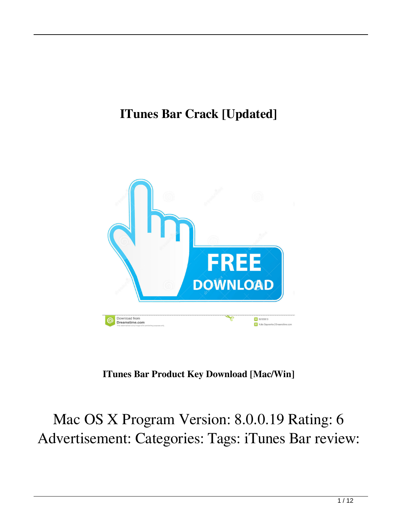## **ITunes Bar Crack [Updated]**



**ITunes Bar Product Key Download [Mac/Win]**

Mac OS X Program Version: 8.0.0.19 Rating: 6 Advertisement: Categories: Tags: iTunes Bar review: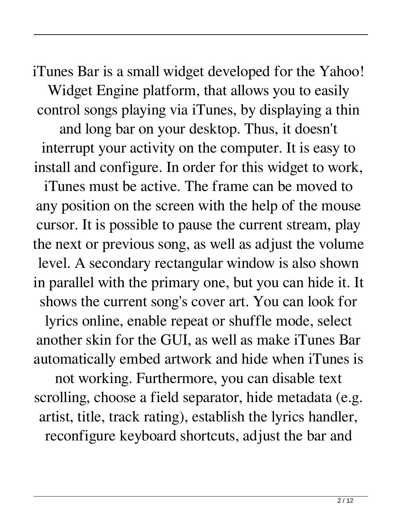iTunes Bar is a small widget developed for the Yahoo! Widget Engine platform, that allows you to easily control songs playing via iTunes, by displaying a thin and long bar on your desktop. Thus, it doesn't interrupt your activity on the computer. It is easy to install and configure. In order for this widget to work, iTunes must be active. The frame can be moved to any position on the screen with the help of the mouse cursor. It is possible to pause the current stream, play the next or previous song, as well as adjust the volume level. A secondary rectangular window is also shown in parallel with the primary one, but you can hide it. It shows the current song's cover art. You can look for lyrics online, enable repeat or shuffle mode, select another skin for the GUI, as well as make iTunes Bar automatically embed artwork and hide when iTunes is not working. Furthermore, you can disable text scrolling, choose a field separator, hide metadata (e.g. artist, title, track rating), establish the lyrics handler, reconfigure keyboard shortcuts, adjust the bar and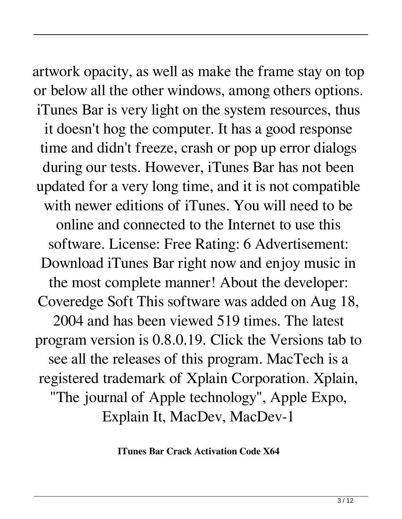artwork opacity, as well as make the frame stay on top or below all the other windows, among others options. iTunes Bar is very light on the system resources, thus it doesn't hog the computer. It has a good response time and didn't freeze, crash or pop up error dialogs during our tests. However, iTunes Bar has not been updated for a very long time, and it is not compatible with newer editions of iTunes. You will need to be online and connected to the Internet to use this software. License: Free Rating: 6 Advertisement: Download iTunes Bar right now and enjoy music in the most complete manner! About the developer: Coveredge Soft This software was added on Aug 18, 2004 and has been viewed 519 times. The latest program version is 0.8.0.19. Click the Versions tab to see all the releases of this program. MacTech is a registered trademark of Xplain Corporation. Xplain, "The journal of Apple technology", Apple Expo, Explain It, MacDev, MacDev-1

**ITunes Bar Crack Activation Code X64**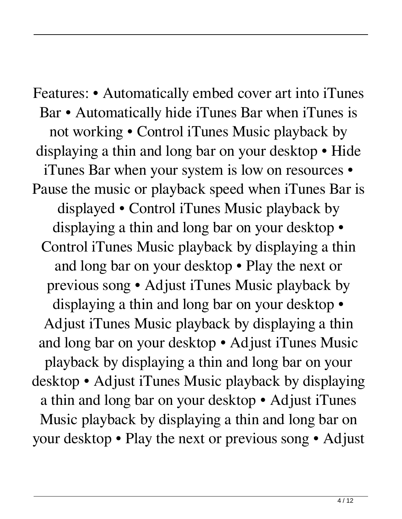Features: • Automatically embed cover art into iTunes Bar • Automatically hide iTunes Bar when iTunes is not working • Control iTunes Music playback by displaying a thin and long bar on your desktop • Hide iTunes Bar when your system is low on resources • Pause the music or playback speed when iTunes Bar is displayed • Control iTunes Music playback by displaying a thin and long bar on your desktop • Control iTunes Music playback by displaying a thin and long bar on your desktop • Play the next or previous song • Adjust iTunes Music playback by displaying a thin and long bar on your desktop • Adjust iTunes Music playback by displaying a thin and long bar on your desktop • Adjust iTunes Music playback by displaying a thin and long bar on your desktop • Adjust iTunes Music playback by displaying a thin and long bar on your desktop • Adjust iTunes Music playback by displaying a thin and long bar on your desktop • Play the next or previous song • Adjust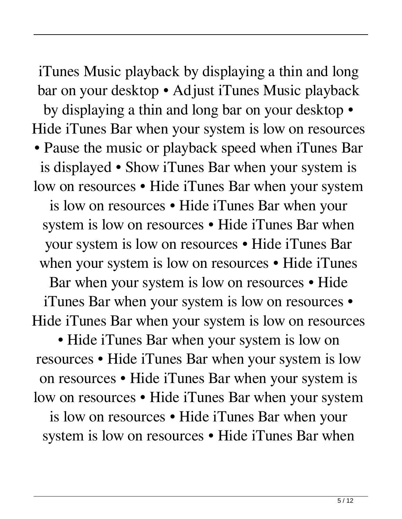iTunes Music playback by displaying a thin and long bar on your desktop • Adjust iTunes Music playback by displaying a thin and long bar on your desktop • Hide iTunes Bar when your system is low on resources • Pause the music or playback speed when iTunes Bar is displayed • Show iTunes Bar when your system is low on resources • Hide iTunes Bar when your system is low on resources • Hide iTunes Bar when your system is low on resources • Hide iTunes Bar when your system is low on resources • Hide iTunes Bar when your system is low on resources • Hide iTunes

Bar when your system is low on resources • Hide iTunes Bar when your system is low on resources • Hide iTunes Bar when your system is low on resources

• Hide iTunes Bar when your system is low on resources • Hide iTunes Bar when your system is low on resources • Hide iTunes Bar when your system is low on resources • Hide iTunes Bar when your system is low on resources • Hide iTunes Bar when your

system is low on resources • Hide iTunes Bar when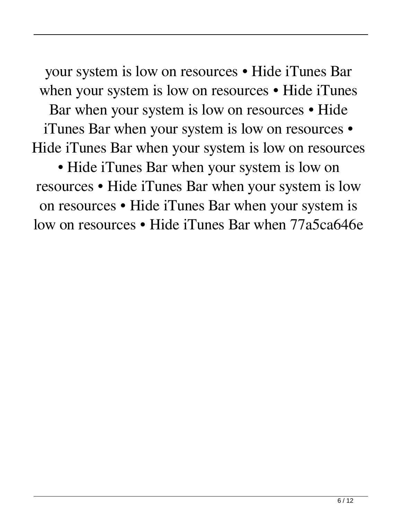your system is low on resources • Hide iTunes Bar when your system is low on resources • Hide iTunes

Bar when your system is low on resources • Hide iTunes Bar when your system is low on resources • Hide iTunes Bar when your system is low on resources

• Hide iTunes Bar when your system is low on resources • Hide iTunes Bar when your system is low on resources • Hide iTunes Bar when your system is low on resources • Hide iTunes Bar when 77a5ca646e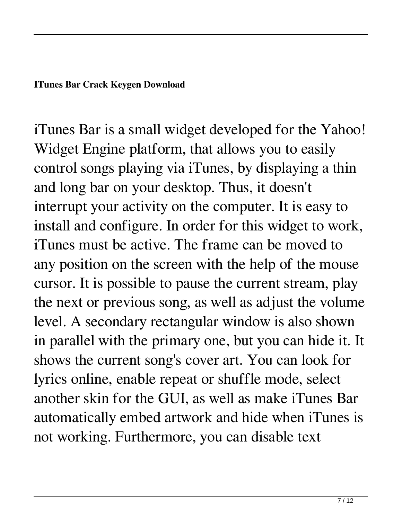**ITunes Bar Crack Keygen Download**

iTunes Bar is a small widget developed for the Yahoo! Widget Engine platform, that allows you to easily control songs playing via iTunes, by displaying a thin and long bar on your desktop. Thus, it doesn't interrupt your activity on the computer. It is easy to install and configure. In order for this widget to work, iTunes must be active. The frame can be moved to any position on the screen with the help of the mouse cursor. It is possible to pause the current stream, play the next or previous song, as well as adjust the volume level. A secondary rectangular window is also shown in parallel with the primary one, but you can hide it. It shows the current song's cover art. You can look for lyrics online, enable repeat or shuffle mode, select another skin for the GUI, as well as make iTunes Bar automatically embed artwork and hide when iTunes is not working. Furthermore, you can disable text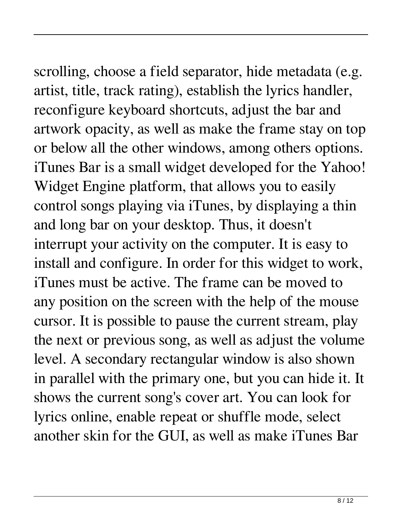## scrolling, choose a field separator, hide metadata (e.g.

artist, title, track rating), establish the lyrics handler, reconfigure keyboard shortcuts, adjust the bar and artwork opacity, as well as make the frame stay on top or below all the other windows, among others options. iTunes Bar is a small widget developed for the Yahoo! Widget Engine platform, that allows you to easily control songs playing via iTunes, by displaying a thin and long bar on your desktop. Thus, it doesn't interrupt your activity on the computer. It is easy to install and configure. In order for this widget to work, iTunes must be active. The frame can be moved to any position on the screen with the help of the mouse cursor. It is possible to pause the current stream, play the next or previous song, as well as adjust the volume level. A secondary rectangular window is also shown in parallel with the primary one, but you can hide it. It shows the current song's cover art. You can look for lyrics online, enable repeat or shuffle mode, select another skin for the GUI, as well as make iTunes Bar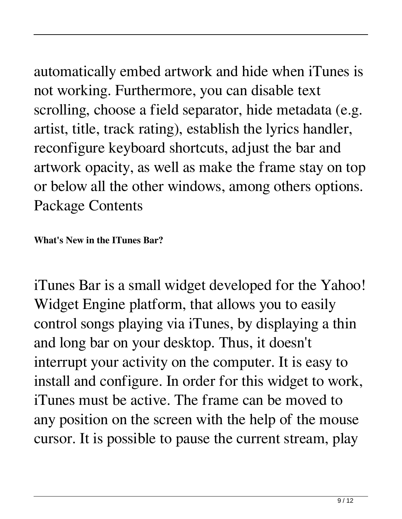automatically embed artwork and hide when iTunes is not working. Furthermore, you can disable text scrolling, choose a field separator, hide metadata (e.g. artist, title, track rating), establish the lyrics handler, reconfigure keyboard shortcuts, adjust the bar and artwork opacity, as well as make the frame stay on top or below all the other windows, among others options. Package Contents

**What's New in the ITunes Bar?**

iTunes Bar is a small widget developed for the Yahoo! Widget Engine platform, that allows you to easily control songs playing via iTunes, by displaying a thin and long bar on your desktop. Thus, it doesn't interrupt your activity on the computer. It is easy to install and configure. In order for this widget to work, iTunes must be active. The frame can be moved to any position on the screen with the help of the mouse cursor. It is possible to pause the current stream, play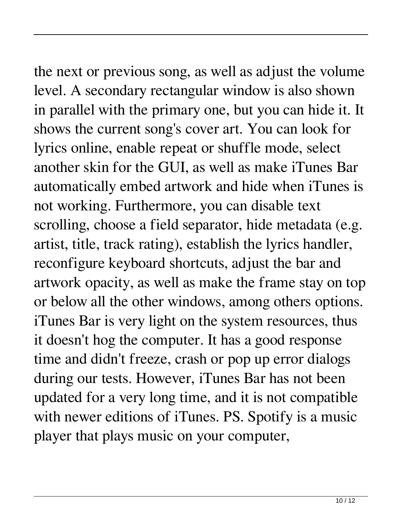the next or previous song, as well as adjust the volume level. A secondary rectangular window is also shown in parallel with the primary one, but you can hide it. It shows the current song's cover art. You can look for lyrics online, enable repeat or shuffle mode, select another skin for the GUI, as well as make iTunes Bar automatically embed artwork and hide when iTunes is not working. Furthermore, you can disable text scrolling, choose a field separator, hide metadata (e.g. artist, title, track rating), establish the lyrics handler, reconfigure keyboard shortcuts, adjust the bar and artwork opacity, as well as make the frame stay on top or below all the other windows, among others options. iTunes Bar is very light on the system resources, thus it doesn't hog the computer. It has a good response time and didn't freeze, crash or pop up error dialogs during our tests. However, iTunes Bar has not been updated for a very long time, and it is not compatible with newer editions of iTunes. PS. Spotify is a music player that plays music on your computer,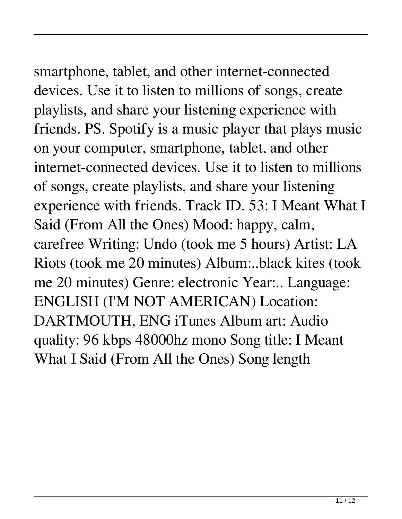## smartphone, tablet, and other internet-connected

devices. Use it to listen to millions of songs, create playlists, and share your listening experience with friends. PS. Spotify is a music player that plays music on your computer, smartphone, tablet, and other internet-connected devices. Use it to listen to millions of songs, create playlists, and share your listening experience with friends. Track ID. 53: I Meant What I Said (From All the Ones) Mood: happy, calm, carefree Writing: Undo (took me 5 hours) Artist: LA Riots (took me 20 minutes) Album:..black kites (took me 20 minutes) Genre: electronic Year:.. Language: ENGLISH (I'M NOT AMERICAN) Location: DARTMOUTH, ENG iTunes Album art: Audio quality: 96 kbps 48000hz mono Song title: I Meant What I Said (From All the Ones) Song length